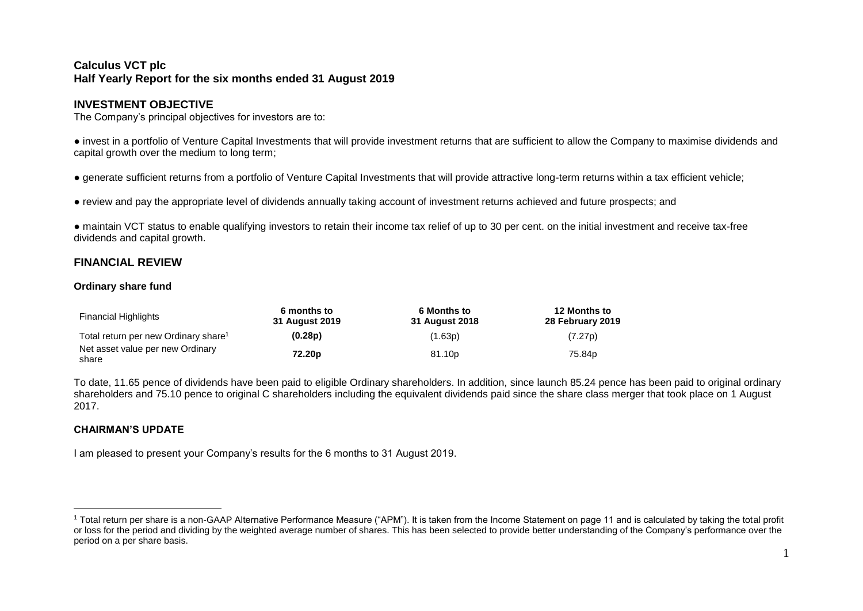# **Calculus VCT plc Half Yearly Report for the six months ended 31 August 2019**

# **INVESTMENT OBJECTIVE**

The Company's principal objectives for investors are to:

● invest in a portfolio of Venture Capital Investments that will provide investment returns that are sufficient to allow the Company to maximise dividends and capital growth over the medium to long term;

● generate sufficient returns from a portfolio of Venture Capital Investments that will provide attractive long-term returns within a tax efficient vehicle;

● review and pay the appropriate level of dividends annually taking account of investment returns achieved and future prospects; and

● maintain VCT status to enable qualifying investors to retain their income tax relief of up to 30 per cent. on the initial investment and receive tax-free dividends and capital growth.

# **FINANCIAL REVIEW**

## **Ordinary share fund**

| <b>Financial Highlights</b>                      | 6 months to<br>31 August 2019 | <b>6 Months to</b><br>31 August 2018 | 12 Months to<br>28 February 2019 |
|--------------------------------------------------|-------------------------------|--------------------------------------|----------------------------------|
| Total return per new Ordinary share <sup>1</sup> | (0.28p)                       | (1.63p)                              | (7.27p)                          |
| Net asset value per new Ordinary<br>share        | 72.20 <sub>p</sub>            | 81.10 <sub>p</sub>                   | 75.84p                           |

To date, 11.65 pence of dividends have been paid to eligible Ordinary shareholders. In addition, since launch 85.24 pence has been paid to original ordinary shareholders and 75.10 pence to original C shareholders including the equivalent dividends paid since the share class merger that took place on 1 August 2017.

## **CHAIRMAN'S UPDATE**

 $\overline{a}$ 

I am pleased to present your Company's results for the 6 months to 31 August 2019.

<sup>1</sup> Total return per share is a non-GAAP Alternative Performance Measure ("APM"). It is taken from the Income Statement on page 11 and is calculated by taking the total profit or loss for the period and dividing by the weighted average number of shares. This has been selected to provide better understanding of the Company's performance over the period on a per share basis.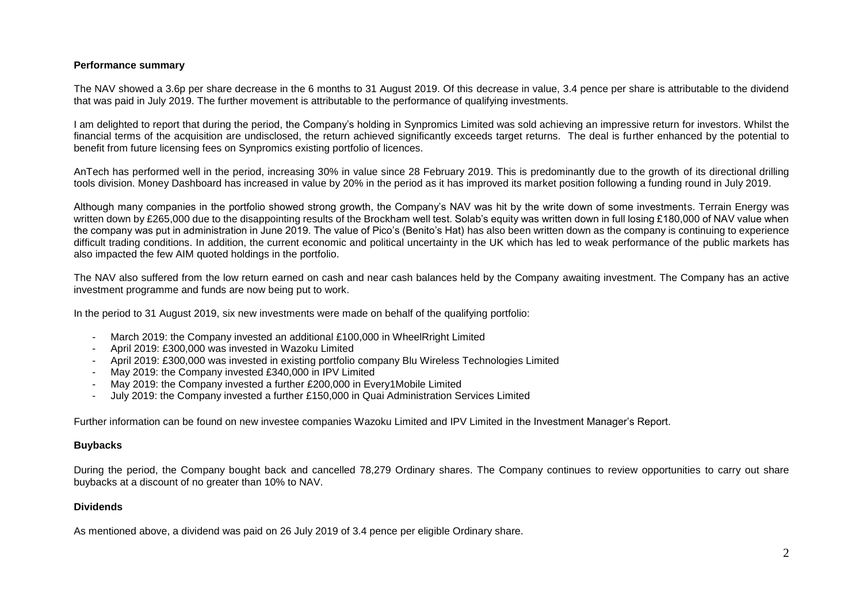## **Performance summary**

The NAV showed a 3.6p per share decrease in the 6 months to 31 August 2019. Of this decrease in value, 3.4 pence per share is attributable to the dividend that was paid in July 2019. The further movement is attributable to the performance of qualifying investments.

I am delighted to report that during the period, the Company's holding in Synpromics Limited was sold achieving an impressive return for investors. Whilst the financial terms of the acquisition are undisclosed, the return achieved significantly exceeds target returns. The deal is further enhanced by the potential to benefit from future licensing fees on Synpromics existing portfolio of licences.

AnTech has performed well in the period, increasing 30% in value since 28 February 2019. This is predominantly due to the growth of its directional drilling tools division. Money Dashboard has increased in value by 20% in the period as it has improved its market position following a funding round in July 2019.

Although many companies in the portfolio showed strong growth, the Company's NAV was hit by the write down of some investments. Terrain Energy was written down by £265,000 due to the disappointing results of the Brockham well test. Solab's equity was written down in full losing £180,000 of NAV value when the company was put in administration in June 2019. The value of Pico's (Benito's Hat) has also been written down as the company is continuing to experience difficult trading conditions. In addition, the current economic and political uncertainty in the UK which has led to weak performance of the public markets has also impacted the few AIM quoted holdings in the portfolio.

The NAV also suffered from the low return earned on cash and near cash balances held by the Company awaiting investment. The Company has an active investment programme and funds are now being put to work.

In the period to 31 August 2019, six new investments were made on behalf of the qualifying portfolio:

- March 2019: the Company invested an additional £100,000 in WheelRright Limited
- April 2019: £300,000 was invested in Wazoku Limited
- April 2019: £300,000 was invested in existing portfolio company Blu Wireless Technologies Limited
- May 2019: the Company invested £340,000 in IPV Limited
- May 2019: the Company invested a further £200,000 in Every1Mobile Limited
- July 2019: the Company invested a further £150,000 in Quai Administration Services Limited

Further information can be found on new investee companies Wazoku Limited and IPV Limited in the Investment Manager's Report.

## **Buybacks**

During the period, the Company bought back and cancelled 78,279 Ordinary shares. The Company continues to review opportunities to carry out share buybacks at a discount of no greater than 10% to NAV.

## **Dividends**

As mentioned above, a dividend was paid on 26 July 2019 of 3.4 pence per eligible Ordinary share.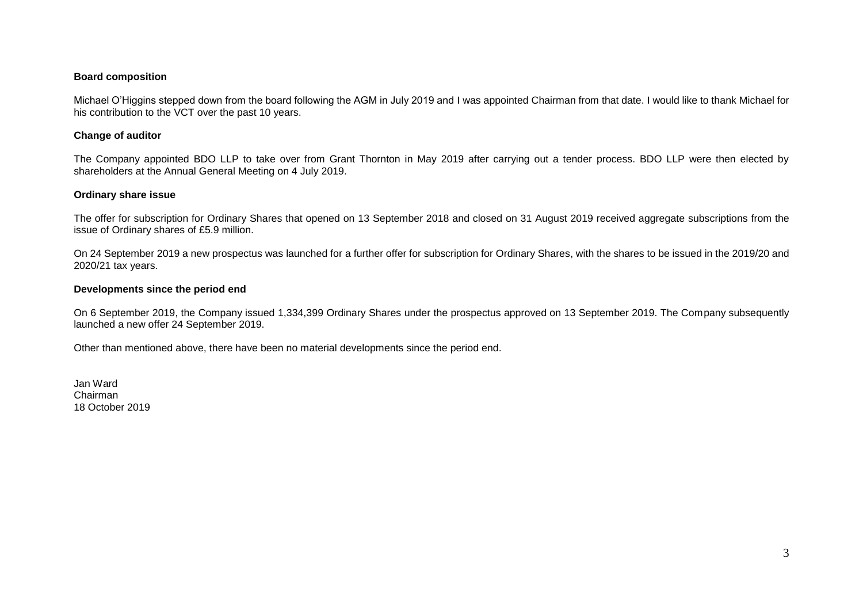## **Board composition**

Michael O'Higgins stepped down from the board following the AGM in July 2019 and I was appointed Chairman from that date. I would like to thank Michael for his contribution to the VCT over the past 10 years.

#### **Change of auditor**

The Company appointed BDO LLP to take over from Grant Thornton in May 2019 after carrying out a tender process. BDO LLP were then elected by shareholders at the Annual General Meeting on 4 July 2019.

#### **Ordinary share issue**

The offer for subscription for Ordinary Shares that opened on 13 September 2018 and closed on 31 August 2019 received aggregate subscriptions from the issue of Ordinary shares of £5.9 million.

On 24 September 2019 a new prospectus was launched for a further offer for subscription for Ordinary Shares, with the shares to be issued in the 2019/20 and 2020/21 tax years.

#### **Developments since the period end**

On 6 September 2019, the Company issued 1,334,399 Ordinary Shares under the prospectus approved on 13 September 2019. The Company subsequently launched a new offer 24 September 2019.

Other than mentioned above, there have been no material developments since the period end.

Jan Ward Chairman 18 October 2019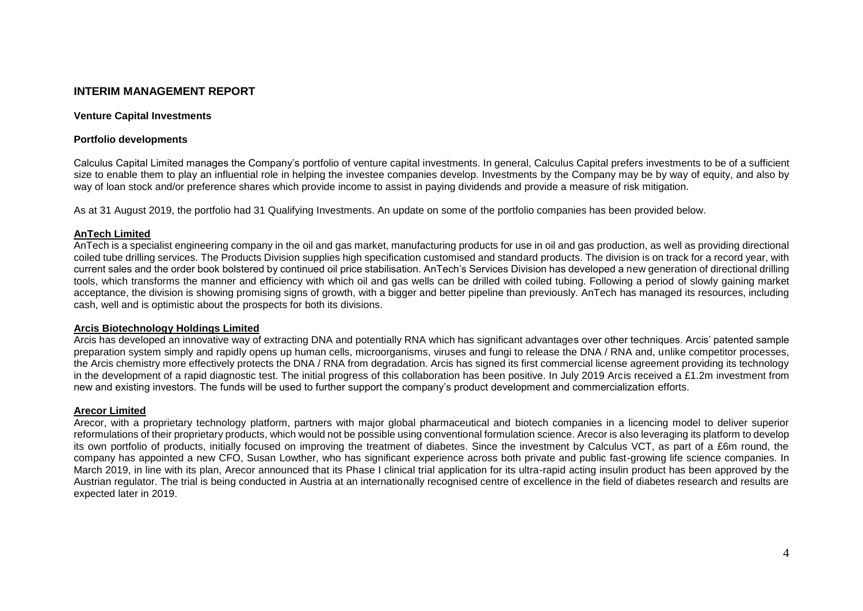# **INTERIM MANAGEMENT REPORT**

#### **Venture Capital Investments**

#### **Portfolio developments**

Calculus Capital Limited manages the Company's portfolio of venture capital investments. In general, Calculus Capital prefers investments to be of a sufficient size to enable them to play an influential role in helping the investee companies develop. Investments by the Company may be by way of equity, and also by way of loan stock and/or preference shares which provide income to assist in paying dividends and provide a measure of risk mitigation.

As at 31 August 2019, the portfolio had 31 Qualifying Investments. An update on some of the portfolio companies has been provided below.

## **AnTech Limited**

AnTech is a specialist engineering company in the oil and gas market, manufacturing products for use in oil and gas production, as well as providing directional coiled tube drilling services. The Products Division supplies high specification customised and standard products. The division is on track for a record year, with current sales and the order book bolstered by continued oil price stabilisation. AnTech's Services Division has developed a new generation of directional drilling tools, which transforms the manner and efficiency with which oil and gas wells can be drilled with coiled tubing. Following a period of slowly gaining market acceptance, the division is showing promising signs of growth, with a bigger and better pipeline than previously. AnTech has managed its resources, including cash, well and is optimistic about the prospects for both its divisions.

## **Arcis Biotechnology Holdings Limited**

Arcis has developed an innovative way of extracting DNA and potentially RNA which has significant advantages over other techniques. Arcis' patented sample preparation system simply and rapidly opens up human cells, microorganisms, viruses and fungi to release the DNA / RNA and, unlike competitor processes, the Arcis chemistry more effectively protects the DNA / RNA from degradation. Arcis has signed its first commercial license agreement providing its technology in the development of a rapid diagnostic test. The initial progress of this collaboration has been positive. In July 2019 Arcis received a £1.2m investment from new and existing investors. The funds will be used to further support the company's product development and commercialization efforts.

## **Arecor Limited**

Arecor, with a proprietary technology platform, partners with major global pharmaceutical and biotech companies in a licencing model to deliver superior reformulations of their proprietary products, which would not be possible using conventional formulation science. Arecor is also leveraging its platform to develop its own portfolio of products, initially focused on improving the treatment of diabetes. Since the investment by Calculus VCT, as part of a £6m round, the company has appointed a new CFO, Susan Lowther, who has significant experience across both private and public fast-growing life science companies. In March 2019, in line with its plan, Arecor announced that its Phase I clinical trial application for its ultra-rapid acting insulin product has been approved by the Austrian regulator. The trial is being conducted in Austria at an internationally recognised centre of excellence in the field of diabetes research and results are expected later in 2019.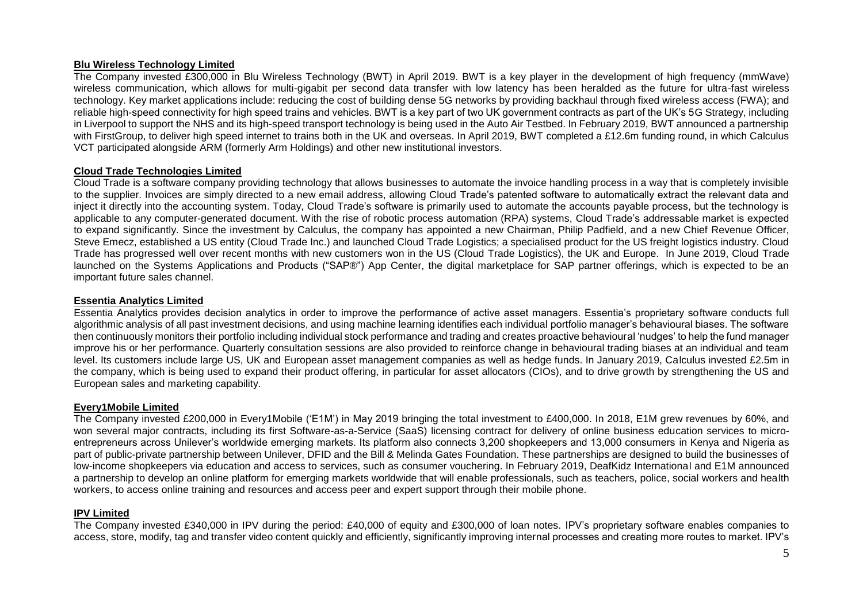## **Blu Wireless Technology Limited**

The Company invested £300,000 in Blu Wireless Technology (BWT) in April 2019. BWT is a key player in the development of high frequency (mmWave) wireless communication, which allows for multi-gigabit per second data transfer with low latency has been heralded as the future for ultra-fast wireless technology. Key market applications include: reducing the cost of building dense 5G networks by providing backhaul through fixed wireless access (FWA); and reliable high-speed connectivity for high speed trains and vehicles. BWT is a key part of two UK government contracts as part of the UK's 5G Strategy, including in Liverpool to support the NHS and its high-speed transport technology is being used in the Auto Air Testbed. In February 2019, BWT announced a partnership with FirstGroup, to deliver high speed internet to trains both in the UK and overseas. In April 2019, BWT completed a £12.6m funding round, in which Calculus VCT participated alongside ARM (formerly Arm Holdings) and other new institutional investors.

## **Cloud Trade Technologies Limited**

Cloud Trade is a software company providing technology that allows businesses to automate the invoice handling process in a way that is completely invisible to the supplier. Invoices are simply directed to a new email address, allowing Cloud Trade's patented software to automatically extract the relevant data and inject it directly into the accounting system. Today, Cloud Trade's software is primarily used to automate the accounts payable process, but the technology is applicable to any computer-generated document. With the rise of robotic process automation (RPA) systems, Cloud Trade's addressable market is expected to expand significantly. Since the investment by Calculus, the company has appointed a new Chairman, Philip Padfield, and a new Chief Revenue Officer, Steve Emecz, established a US entity (Cloud Trade Inc.) and launched Cloud Trade Logistics; a specialised product for the US freight logistics industry. Cloud Trade has progressed well over recent months with new customers won in the US (Cloud Trade Logistics), the UK and Europe. In June 2019, Cloud Trade launched on the Systems Applications and Products ("SAP®") App Center, the digital marketplace for SAP partner offerings, which is expected to be an important future sales channel.

## **Essentia Analytics Limited**

Essentia Analytics provides decision analytics in order to improve the performance of active asset managers. Essentia's proprietary software conducts full algorithmic analysis of all past investment decisions, and using machine learning identifies each individual portfolio manager's behavioural biases. The software then continuously monitors their portfolio including individual stock performance and trading and creates proactive behavioural 'nudges' to help the fund manager improve his or her performance. Quarterly consultation sessions are also provided to reinforce change in behavioural trading biases at an individual and team level. Its customers include large US, UK and European asset management companies as well as hedge funds. In January 2019, Calculus invested £2.5m in the company, which is being used to expand their product offering, in particular for asset allocators (CIOs), and to drive growth by strengthening the US and European sales and marketing capability.

## **Every1Mobile Limited**

The Company invested £200,000 in Every1Mobile ('E1M') in May 2019 bringing the total investment to £400,000. In 2018, E1M grew revenues by 60%, and won several major contracts, including its first Software-as-a-Service (SaaS) licensing contract for delivery of online business education services to microentrepreneurs across Unilever's worldwide emerging markets. Its platform also connects 3,200 shopkeepers and 13,000 consumers in Kenya and Nigeria as part of public-private partnership between Unilever, DFID and the Bill & Melinda Gates Foundation. These partnerships are designed to build the businesses of low-income shopkeepers via education and access to services, such as consumer vouchering. In February 2019, DeafKidz International and E1M announced a partnership to develop an online platform for emerging markets worldwide that will enable professionals, such as teachers, police, social workers and health workers, to access online training and resources and access peer and expert support through their mobile phone.

## **IPV Limited**

The Company invested £340,000 in IPV during the period: £40,000 of equity and £300,000 of loan notes. IPV's proprietary software enables companies to access, store, modify, tag and transfer video content quickly and efficiently, significantly improving internal processes and creating more routes to market. IPV's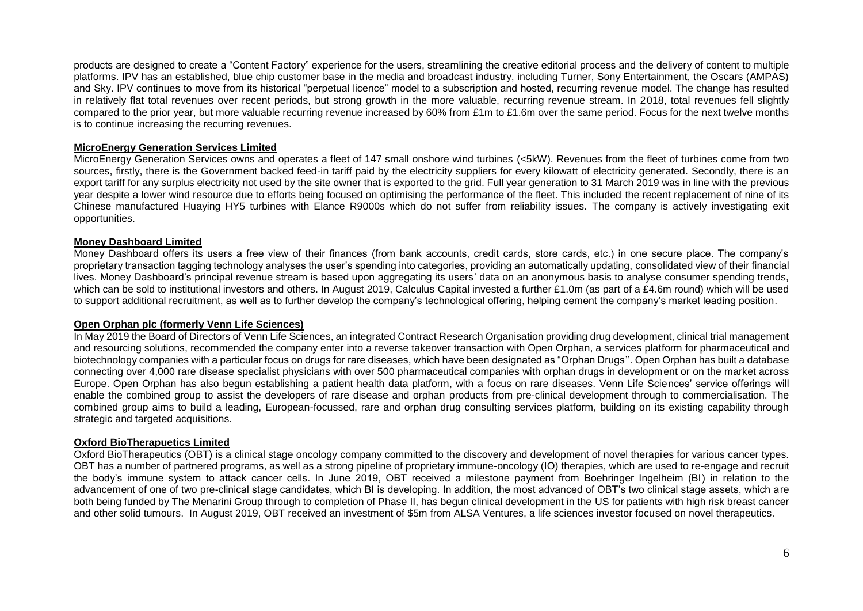products are designed to create a "Content Factory" experience for the users, streamlining the creative editorial process and the delivery of content to multiple platforms. IPV has an established, blue chip customer base in the media and broadcast industry, including Turner, Sony Entertainment, the Oscars (AMPAS) and Sky. IPV continues to move from its historical "perpetual licence" model to a subscription and hosted, recurring revenue model. The change has resulted in relatively flat total revenues over recent periods, but strong growth in the more valuable, recurring revenue stream. In 2018, total revenues fell slightly compared to the prior year, but more valuable recurring revenue increased by 60% from £1m to £1.6m over the same period. Focus for the next twelve months is to continue increasing the recurring revenues.

## **MicroEnergy Generation Services Limited**

MicroEnergy Generation Services owns and operates a fleet of 147 small onshore wind turbines (<5kW). Revenues from the fleet of turbines come from two sources, firstly, there is the Government backed feed-in tariff paid by the electricity suppliers for every kilowatt of electricity generated. Secondly, there is an export tariff for any surplus electricity not used by the site owner that is exported to the grid. Full year generation to 31 March 2019 was in line with the previous year despite a lower wind resource due to efforts being focused on optimising the performance of the fleet. This included the recent replacement of nine of its Chinese manufactured Huaying HY5 turbines with Elance R9000s which do not suffer from reliability issues. The company is actively investigating exit opportunities.

## **Money Dashboard Limited**

Money Dashboard offers its users a free view of their finances (from bank accounts, credit cards, store cards, etc.) in one secure place. The company's proprietary transaction tagging technology analyses the user's spending into categories, providing an automatically updating, consolidated view of their financial lives. Money Dashboard's principal revenue stream is based upon aggregating its users' data on an anonymous basis to analyse consumer spending trends, which can be sold to institutional investors and others. In August 2019, Calculus Capital invested a further £1.0m (as part of a £4.6m round) which will be used to support additional recruitment, as well as to further develop the company's technological offering, helping cement the company's market leading position.

## **Open Orphan plc (formerly Venn Life Sciences)**

In May 2019 the Board of Directors of Venn Life Sciences, an integrated Contract Research Organisation providing drug development, clinical trial management and resourcing solutions, recommended the company enter into a reverse takeover transaction with Open Orphan, a services platform for pharmaceutical and biotechnology companies with a particular focus on drugs for rare diseases, which have been designated as "Orphan Drugs''. Open Orphan has built a database connecting over 4,000 rare disease specialist physicians with over 500 pharmaceutical companies with orphan drugs in development or on the market across Europe. Open Orphan has also begun establishing a patient health data platform, with a focus on rare diseases. Venn Life Sciences' service offerings will enable the combined group to assist the developers of rare disease and orphan products from pre-clinical development through to commercialisation. The combined group aims to build a leading, European-focussed, rare and orphan drug consulting services platform, building on its existing capability through strategic and targeted acquisitions.

## **Oxford BioTherapuetics Limited**

Oxford BioTherapeutics (OBT) is a clinical stage oncology company committed to the discovery and development of novel therapies for various cancer types. OBT has a number of partnered programs, as well as a strong pipeline of proprietary immune-oncology (IO) therapies, which are used to re-engage and recruit the body's immune system to attack cancer cells. In June 2019, OBT received a milestone payment from Boehringer Ingelheim (BI) in relation to the advancement of one of two pre-clinical stage candidates, which BI is developing. In addition, the most advanced of OBT's two clinical stage assets, which are both being funded by The Menarini Group through to completion of Phase II, has begun clinical development in the US for patients with high risk breast cancer and other solid tumours. In August 2019, OBT received an investment of \$5m from ALSA Ventures, a life sciences investor focused on novel therapeutics.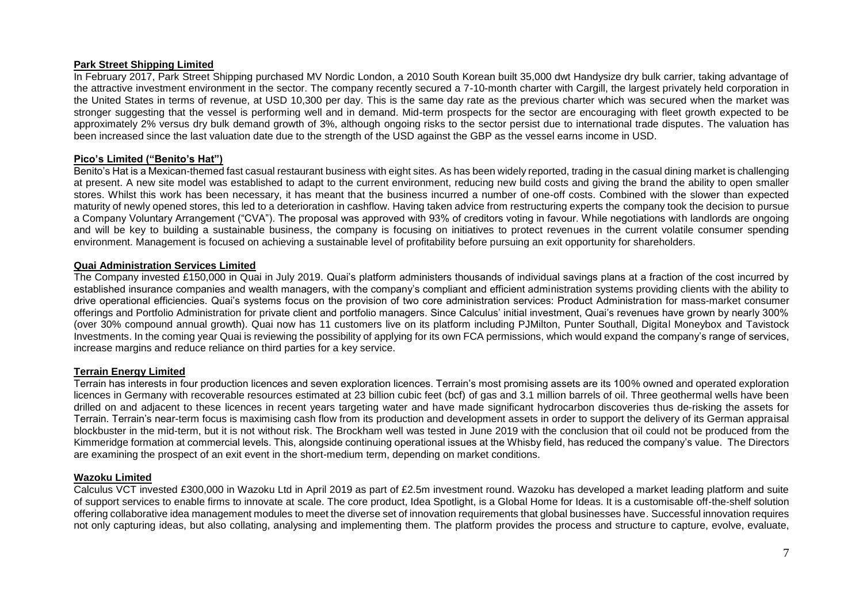## **Park Street Shipping Limited**

In February 2017, Park Street Shipping purchased MV Nordic London, a 2010 South Korean built 35,000 dwt Handysize dry bulk carrier, taking advantage of the attractive investment environment in the sector. The company recently secured a 7-10-month charter with Cargill, the largest privately held corporation in the United States in terms of revenue, at USD 10,300 per day. This is the same day rate as the previous charter which was secured when the market was stronger suggesting that the vessel is performing well and in demand. Mid-term prospects for the sector are encouraging with fleet growth expected to be approximately 2% versus dry bulk demand growth of 3%, although ongoing risks to the sector persist due to international trade disputes. The valuation has been increased since the last valuation date due to the strength of the USD against the GBP as the vessel earns income in USD.

#### **Pico's Limited ("Benito's Hat")**

Benito's Hat is a Mexican-themed fast casual restaurant business with eight sites. As has been widely reported, trading in the casual dining market is challenging at present. A new site model was established to adapt to the current environment, reducing new build costs and giving the brand the ability to open smaller stores. Whilst this work has been necessary, it has meant that the business incurred a number of one-off costs. Combined with the slower than expected maturity of newly opened stores, this led to a deterioration in cashflow. Having taken advice from restructuring experts the company took the decision to pursue a Company Voluntary Arrangement ("CVA"). The proposal was approved with 93% of creditors voting in favour. While negotiations with landlords are ongoing and will be key to building a sustainable business, the company is focusing on initiatives to protect revenues in the current volatile consumer spending environment. Management is focused on achieving a sustainable level of profitability before pursuing an exit opportunity for shareholders.

#### **Quai Administration Services Limited**

The Company invested £150,000 in Quai in July 2019. Quai's platform administers thousands of individual savings plans at a fraction of the cost incurred by established insurance companies and wealth managers, with the company's compliant and efficient administration systems providing clients with the ability to drive operational efficiencies. Quai's systems focus on the provision of two core administration services: Product Administration for mass-market consumer offerings and Portfolio Administration for private client and portfolio managers. Since Calculus' initial investment, Quai's revenues have grown by nearly 300% (over 30% compound annual growth). Quai now has 11 customers live on its platform including PJMilton, Punter Southall, Digital Moneybox and Tavistock Investments. In the coming year Quai is reviewing the possibility of applying for its own FCA permissions, which would expand the company's range of services, increase margins and reduce reliance on third parties for a key service.

## **Terrain Energy Limited**

Terrain has interests in four production licences and seven exploration licences. Terrain's most promising assets are its 100% owned and operated exploration licences in Germany with recoverable resources estimated at 23 billion cubic feet (bcf) of gas and 3.1 million barrels of oil. Three geothermal wells have been drilled on and adjacent to these licences in recent years targeting water and have made significant hydrocarbon discoveries thus de-risking the assets for Terrain. Terrain's near-term focus is maximising cash flow from its production and development assets in order to support the delivery of its German appraisal blockbuster in the mid-term, but it is not without risk. The Brockham well was tested in June 2019 with the conclusion that oil could not be produced from the Kimmeridge formation at commercial levels. This, alongside continuing operational issues at the Whisby field, has reduced the company's value. The Directors are examining the prospect of an exit event in the short-medium term, depending on market conditions.

#### **Wazoku Limited**

Calculus VCT invested £300,000 in Wazoku Ltd in April 2019 as part of £2.5m investment round. Wazoku has developed a market leading platform and suite of support services to enable firms to innovate at scale. The core product, Idea Spotlight, is a Global Home for Ideas. It is a customisable off-the‐shelf solution offering collaborative idea management modules to meet the diverse set of innovation requirements that global businesses have. Successful innovation requires not only capturing ideas, but also collating, analysing and implementing them. The platform provides the process and structure to capture, evolve, evaluate,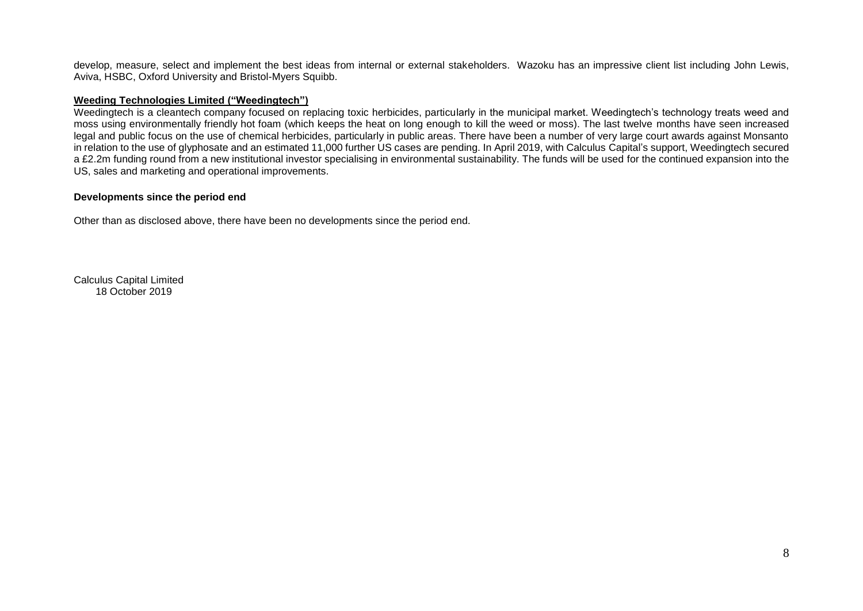develop, measure, select and implement the best ideas from internal or external stakeholders. Wazoku has an impressive client list including John Lewis, Aviva, HSBC, Oxford University and Bristol-Myers Squibb.

## **Weeding Technologies Limited ("Weedingtech")**

Weedingtech is a cleantech company focused on replacing toxic herbicides, particularly in the municipal market. Weedingtech's technology treats weed and moss using environmentally friendly hot foam (which keeps the heat on long enough to kill the weed or moss). The last twelve months have seen increased legal and public focus on the use of chemical herbicides, particularly in public areas. There have been a number of very large court awards against Monsanto in relation to the use of glyphosate and an estimated 11,000 further US cases are pending. In April 2019, with Calculus Capital's support, Weedingtech secured a £2.2m funding round from a new institutional investor specialising in environmental sustainability. The funds will be used for the continued expansion into the US, sales and marketing and operational improvements.

#### **Developments since the period end**

Other than as disclosed above, there have been no developments since the period end.

Calculus Capital Limited 18 October 2019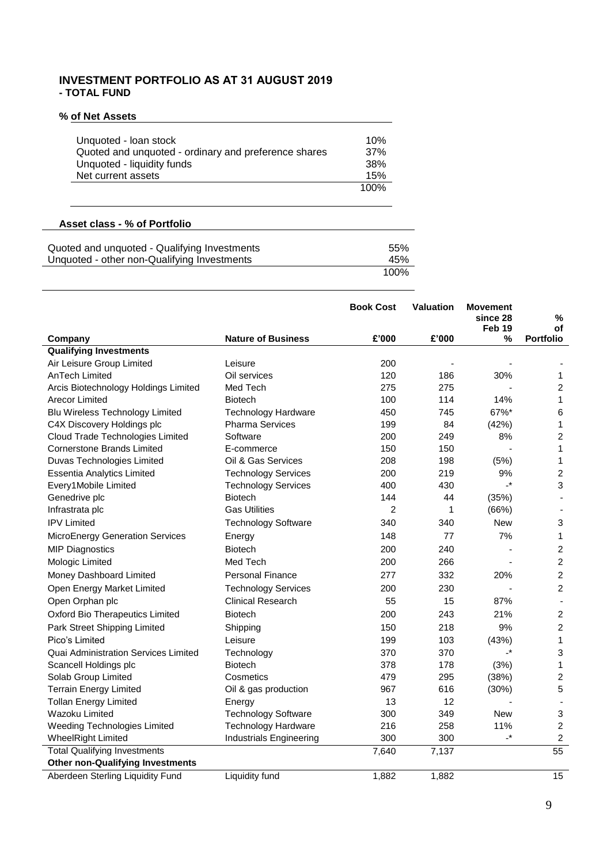## **INVESTMENT PORTFOLIO AS AT 31 AUGUST 2019 - TOTAL FUND**

## **% of Net Assets**

| Unquoted - Ioan stock<br>Quoted and unquoted - ordinary and preference shares<br>Unquoted - liquidity funds<br>Net current assets | 10%<br>37%<br>38%<br>15% |
|-----------------------------------------------------------------------------------------------------------------------------------|--------------------------|
|                                                                                                                                   | 100%                     |
|                                                                                                                                   |                          |

# **Asset class - % of Portfolio**

| Quoted and unquoted - Qualifying Investments | 55%  |
|----------------------------------------------|------|
| Unquoted - other non-Qualifying Investments  | 45%  |
|                                              | 100% |

|                                         |                            | <b>Book Cost</b> | <b>Valuation</b> | <b>Movement</b><br>since 28<br>Feb 19 | ℅<br>οf          |
|-----------------------------------------|----------------------------|------------------|------------------|---------------------------------------|------------------|
| Company                                 | <b>Nature of Business</b>  | £'000            | £'000            | %                                     | <b>Portfolio</b> |
| <b>Qualifying Investments</b>           |                            |                  |                  |                                       |                  |
| Air Leisure Group Limited               | Leisure                    | 200              |                  |                                       |                  |
| AnTech Limited                          | Oil services               | 120              | 186              | 30%                                   | 1                |
| Arcis Biotechnology Holdings Limited    | Med Tech                   | 275              | 275              |                                       | $\overline{c}$   |
| <b>Arecor Limited</b>                   | <b>Biotech</b>             | 100              | 114              | 14%                                   | 1                |
| <b>Blu Wireless Technology Limited</b>  | <b>Technology Hardware</b> | 450              | 745              | 67%*                                  | 6                |
| C4X Discovery Holdings plc              | <b>Pharma Services</b>     | 199              | 84               | (42%)                                 | 1                |
| Cloud Trade Technologies Limited        | Software                   | 200              | 249              | 8%                                    | $\overline{c}$   |
| <b>Cornerstone Brands Limited</b>       | E-commerce                 | 150              | 150              |                                       | 1                |
| Duvas Technologies Limited              | Oil & Gas Services         | 208              | 198              | (5%)                                  | $\mathbf{1}$     |
| <b>Essentia Analytics Limited</b>       | <b>Technology Services</b> | 200              | 219              | 9%                                    | $\overline{c}$   |
| Every1 Mobile Limited                   | <b>Technology Services</b> | 400              | 430              | $\cdot^*$                             | 3                |
| Genedrive plc                           | <b>Biotech</b>             | 144              | 44               | (35%)                                 |                  |
| Infrastrata plc                         | <b>Gas Utilities</b>       | 2                | 1                | (66%)                                 | $\blacksquare$   |
| <b>IPV Limited</b>                      | <b>Technology Software</b> | 340              | 340              | <b>New</b>                            | 3                |
| <b>MicroEnergy Generation Services</b>  | Energy                     | 148              | 77               | 7%                                    | 1                |
| <b>MIP Diagnostics</b>                  | <b>Biotech</b>             | 200              | 240              |                                       | 2                |
| Mologic Limited                         | Med Tech                   | 200              | 266              |                                       | $\overline{c}$   |
| Money Dashboard Limited                 | <b>Personal Finance</b>    | 277              | 332              | 20%                                   | 2                |
| Open Energy Market Limited              | <b>Technology Services</b> | 200              | 230              |                                       | $\overline{c}$   |
| Open Orphan plc                         | <b>Clinical Research</b>   | 55               | 15               | 87%                                   |                  |
| <b>Oxford Bio Therapeutics Limited</b>  | <b>Biotech</b>             | 200              | 243              | 21%                                   | $\overline{2}$   |
| Park Street Shipping Limited            | Shipping                   | 150              | 218              | 9%                                    | $\overline{c}$   |
| Pico's Limited                          | Leisure                    | 199              | 103              | (43%)                                 | 1                |
| Quai Administration Services Limited    | Technology                 | 370              | 370              | $\cdot^*$                             | 3                |
| Scancell Holdings plc                   | <b>Biotech</b>             | 378              | 178              | (3%)                                  | 1                |
| Solab Group Limited                     | Cosmetics                  | 479              | 295              | (38%)                                 | $\overline{c}$   |
| <b>Terrain Energy Limited</b>           | Oil & gas production       | 967              | 616              | (30%)                                 | 5                |
| <b>Tollan Energy Limited</b>            | Energy                     | 13               | 12               |                                       | ä,               |
| Wazoku Limited                          | <b>Technology Software</b> | 300              | 349              | New                                   | 3                |
| Weeding Technologies Limited            | <b>Technology Hardware</b> | 216              | 258              | 11%                                   | $\overline{c}$   |
| <b>WheelRight Limited</b>               | Industrials Engineering    | 300              | 300              | $\cdot^*$                             | 2                |
| <b>Total Qualifying Investments</b>     |                            | 7,640            | 7,137            |                                       | 55               |
| <b>Other non-Qualifying Investments</b> |                            |                  |                  |                                       |                  |
| Aberdeen Sterling Liquidity Fund        | <b>Liquidity fund</b>      | 1,882            | 1,882            |                                       | $\overline{15}$  |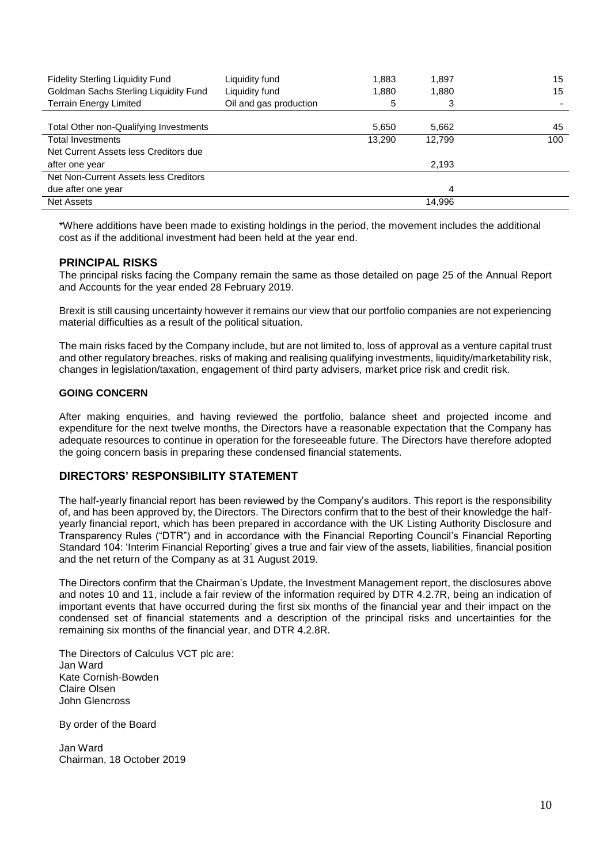| <b>Fidelity Sterling Liquidity Fund</b> | Liquidity fund         | 1.883  | 1,897  | 15  |
|-----------------------------------------|------------------------|--------|--------|-----|
| Goldman Sachs Sterling Liquidity Fund   | Liquidity fund         | 1.880  | 1,880  | 15  |
| <b>Terrain Energy Limited</b>           | Oil and gas production | 5      | 3      |     |
|                                         |                        |        |        |     |
| Total Other non-Qualifying Investments  |                        | 5,650  | 5,662  | 45  |
| <b>Total Investments</b>                |                        | 13,290 | 12.799 | 100 |
| Net Current Assets less Creditors due   |                        |        |        |     |
| after one year                          |                        |        | 2,193  |     |
| Net Non-Current Assets less Creditors   |                        |        |        |     |
| due after one year                      |                        |        | 4      |     |
| <b>Net Assets</b>                       |                        |        | 14,996 |     |

\*Where additions have been made to existing holdings in the period, the movement includes the additional cost as if the additional investment had been held at the year end.

## **PRINCIPAL RISKS**

The principal risks facing the Company remain the same as those detailed on page 25 of the Annual Report and Accounts for the year ended 28 February 2019.

Brexit is still causing uncertainty however it remains our view that our portfolio companies are not experiencing material difficulties as a result of the political situation.

The main risks faced by the Company include, but are not limited to, loss of approval as a venture capital trust and other regulatory breaches, risks of making and realising qualifying investments, liquidity/marketability risk, changes in legislation/taxation, engagement of third party advisers, market price risk and credit risk.

## **GOING CONCERN**

After making enquiries, and having reviewed the portfolio, balance sheet and projected income and expenditure for the next twelve months, the Directors have a reasonable expectation that the Company has adequate resources to continue in operation for the foreseeable future. The Directors have therefore adopted the going concern basis in preparing these condensed financial statements.

## **DIRECTORS' RESPONSIBILITY STATEMENT**

The half-yearly financial report has been reviewed by the Company's auditors. This report is the responsibility of, and has been approved by, the Directors. The Directors confirm that to the best of their knowledge the halfyearly financial report, which has been prepared in accordance with the UK Listing Authority Disclosure and Transparency Rules ("DTR") and in accordance with the Financial Reporting Council's Financial Reporting Standard 104: 'Interim Financial Reporting' gives a true and fair view of the assets, liabilities, financial position and the net return of the Company as at 31 August 2019.

The Directors confirm that the Chairman's Update, the Investment Management report, the disclosures above and notes 10 and 11, include a fair review of the information required by DTR 4.2.7R, being an indication of important events that have occurred during the first six months of the financial year and their impact on the condensed set of financial statements and a description of the principal risks and uncertainties for the remaining six months of the financial year, and DTR 4.2.8R.

The Directors of Calculus VCT plc are: Jan Ward Kate Cornish-Bowden Claire Olsen John Glencross

By order of the Board

Jan Ward Chairman, 18 October 2019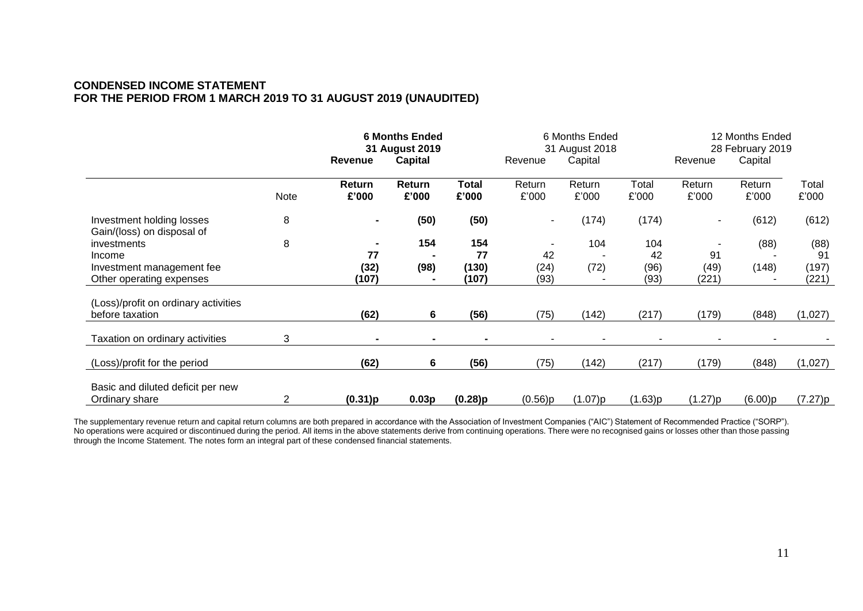# **CONDENSED INCOME STATEMENT FOR THE PERIOD FROM 1 MARCH 2019 TO 31 AUGUST 2019 (UNAUDITED)**

|                                                         |      | <b>6 Months Ended</b><br>31 August 2019 |                 | 6 Months Ended<br>31 August 2018 |                 |                 | 12 Months Ended<br>28 February 2019 |                          |                 |                |
|---------------------------------------------------------|------|-----------------------------------------|-----------------|----------------------------------|-----------------|-----------------|-------------------------------------|--------------------------|-----------------|----------------|
|                                                         |      | <b>Revenue</b>                          | <b>Capital</b>  |                                  | Revenue         | Capital         |                                     | Revenue                  | Capital         |                |
|                                                         | Note | Return<br>£'000                         | Return<br>£'000 | Total<br>£'000                   | Return<br>£'000 | Return<br>£'000 | Total<br>£'000                      | Return<br>£'000          | Return<br>£'000 | Total<br>£'000 |
| Investment holding losses<br>Gain/(loss) on disposal of | 8    | $\blacksquare$                          | (50)            | (50)                             |                 | (174)           | (174)                               | $\overline{\phantom{a}}$ | (612)           | (612)          |
| investments                                             | 8    | $\blacksquare$                          | 154             | 154                              |                 | 104             | 104                                 | $\blacksquare$           | (88)            | (88)           |
| Income                                                  |      | 77                                      |                 | 77                               | 42              |                 | 42                                  | 91                       |                 | 91             |
| Investment management fee<br>Other operating expenses   |      | (32)<br>(107)                           | (98)            | (130)<br>(107)                   | (24)<br>(93)    | (72)            | (96)<br>(93)                        | (49)<br>(221)            | (148)           | (197)<br>(221) |
| (Loss)/profit on ordinary activities<br>before taxation |      | (62)                                    | 6               | (56)                             | (75)            | (142)           | (217)                               | (179)                    | (848)           | (1,027)        |
|                                                         |      |                                         |                 |                                  |                 |                 |                                     |                          |                 |                |
| Taxation on ordinary activities                         | 3    |                                         |                 |                                  |                 |                 |                                     |                          |                 |                |
| (Loss)/profit for the period                            |      | (62)                                    | 6               | (56)                             | (75)            | (142)           | (217)                               | (179)                    | (848)           | (1,027)        |
| Basic and diluted deficit per new<br>Ordinary share     | 2    | (0.31)p                                 | 0.03p           | (0.28)p                          | (0.56)p         | (1.07)p         | (1.63)p                             | (1.27)p                  | (6.00)p         | (7.27)p        |

The supplementary revenue return and capital return columns are both prepared in accordance with the Association of Investment Companies ("AIC") Statement of Recommended Practice ("SORP"). No operations were acquired or discontinued during the period. All items in the above statements derive from continuing operations. There were no recognised gains or losses other than those passing through the Income Statement. The notes form an integral part of these condensed financial statements.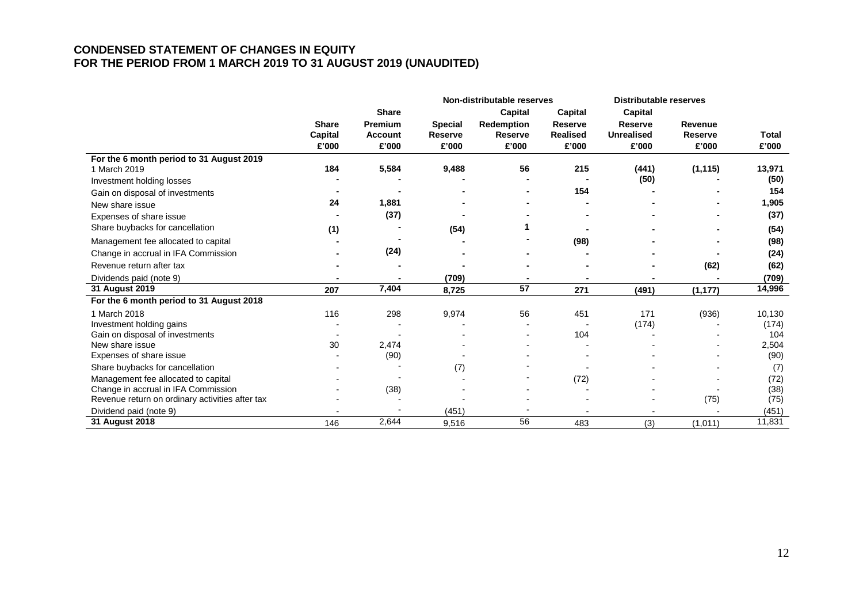# **CONDENSED STATEMENT OF CHANGES IN EQUITY FOR THE PERIOD FROM 1 MARCH 2019 TO 31 AUGUST 2019 (UNAUDITED)**

|                                                 |                |                |                | Non-distributable reserves |                | <b>Distributable reserves</b> |                |        |
|-------------------------------------------------|----------------|----------------|----------------|----------------------------|----------------|-------------------------------|----------------|--------|
|                                                 |                | <b>Share</b>   |                | Capital                    | <b>Capital</b> | <b>Capital</b>                |                |        |
|                                                 | <b>Share</b>   | Premium        | <b>Special</b> | <b>Redemption</b>          | <b>Reserve</b> | <b>Reserve</b>                | Revenue        |        |
|                                                 | <b>Capital</b> | <b>Account</b> | <b>Reserve</b> | Reserve                    | Realised       | <b>Unrealised</b>             | <b>Reserve</b> | Total  |
|                                                 | £'000          | £'000          | £'000          | £'000                      | £'000          | £'000                         | £'000          | £'000  |
| For the 6 month period to 31 August 2019        |                |                |                |                            |                |                               |                |        |
| 1 March 2019                                    | 184            | 5,584          | 9,488          | 56                         | 215            | (441)                         | (1, 115)       | 13,971 |
| Investment holding losses                       |                |                |                |                            |                | (50)                          |                | (50)   |
| Gain on disposal of investments                 |                |                |                |                            | 154            |                               |                | 154    |
| New share issue                                 | 24             | 1,881          |                |                            |                |                               |                | 1,905  |
| Expenses of share issue                         |                | (37)           |                |                            |                |                               |                | (37)   |
| Share buybacks for cancellation                 | (1)            |                | (54)           |                            |                |                               |                | (54)   |
| Management fee allocated to capital             |                |                |                |                            | (98)           |                               |                | (98)   |
| Change in accrual in IFA Commission             |                | (24)           |                |                            |                |                               |                | (24)   |
| Revenue return after tax                        |                |                |                |                            |                |                               | (62)           | (62)   |
| Dividends paid (note 9)                         |                |                | (709)          |                            |                |                               |                | (709)  |
| 31 August 2019                                  | 207            | 7,404          | 8,725          | 57                         | 271            | (491)                         | (1, 177)       | 14,996 |
| For the 6 month period to 31 August 2018        |                |                |                |                            |                |                               |                |        |
| 1 March 2018                                    | 116            | 298            | 9,974          | 56                         | 451            | 171                           | (936)          | 10,130 |
| Investment holding gains                        |                |                |                |                            |                | (174)                         |                | (174)  |
| Gain on disposal of investments                 |                |                |                |                            | 104            |                               |                | 104    |
| New share issue                                 | 30             | 2,474          |                |                            |                |                               |                | 2,504  |
| Expenses of share issue                         |                | (90)           |                |                            |                |                               |                | (90)   |
| Share buybacks for cancellation                 |                |                | (7)            |                            |                |                               |                | (7)    |
| Management fee allocated to capital             |                |                |                |                            | (72)           |                               |                | (72)   |
| Change in accrual in IFA Commission             |                | (38)           |                |                            |                |                               |                | (38)   |
| Revenue return on ordinary activities after tax |                |                |                |                            |                |                               | (75)           | (75)   |
| Dividend paid (note 9)                          |                |                | (451)          |                            |                |                               |                | (451)  |
| 31 August 2018                                  | 146            | 2,644          | 9,516          | 56                         | 483            | (3)                           | (1,011)        | 11,831 |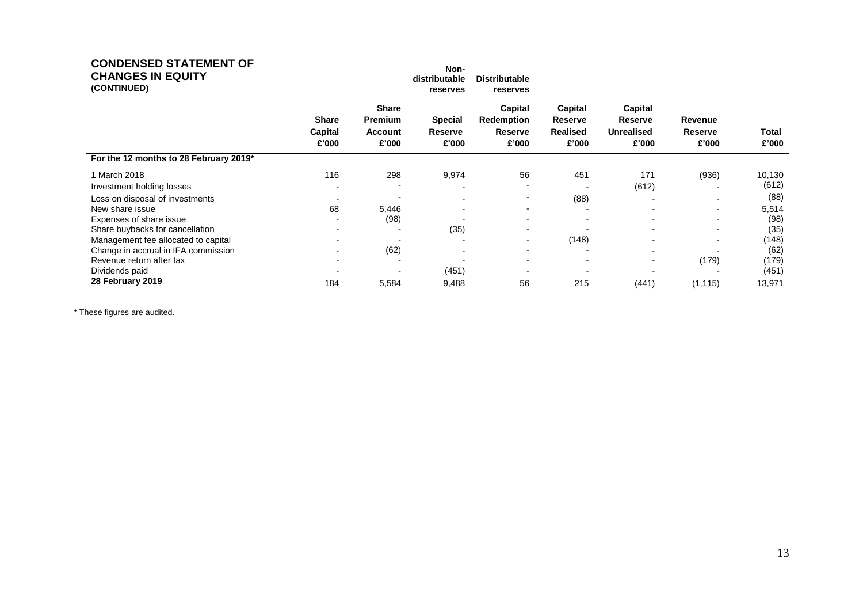| <b>CONDENSED STATEMENT OF</b><br><b>CHANGES IN EQUITY</b><br>(CONTINUED) |                                  |                                                    | Non-<br>distributable<br>reserves         | <b>Distributable</b><br>reserves                 |                                                       |                                                                |                                    |                |
|--------------------------------------------------------------------------|----------------------------------|----------------------------------------------------|-------------------------------------------|--------------------------------------------------|-------------------------------------------------------|----------------------------------------------------------------|------------------------------------|----------------|
|                                                                          | <b>Share</b><br>Capital<br>£'000 | <b>Share</b><br><b>Premium</b><br>Account<br>£'000 | <b>Special</b><br><b>Reserve</b><br>£'000 | Capital<br>Redemption<br><b>Reserve</b><br>£'000 | Capital<br><b>Reserve</b><br><b>Realised</b><br>£'000 | <b>Capital</b><br><b>Reserve</b><br><b>Unrealised</b><br>£'000 | Revenue<br><b>Reserve</b><br>£'000 | Total<br>£'000 |
| For the 12 months to 28 February 2019*                                   |                                  |                                                    |                                           |                                                  |                                                       |                                                                |                                    |                |
| 1 March 2018                                                             | 116                              | 298                                                | 9,974                                     | 56                                               | 451                                                   | 171                                                            | (936)                              | 10,130         |
| Investment holding losses                                                |                                  |                                                    |                                           |                                                  | -                                                     | (612)                                                          |                                    | (612)          |
| Loss on disposal of investments                                          |                                  |                                                    |                                           |                                                  | (88)                                                  | $\overline{\phantom{0}}$                                       |                                    | (88)           |
| New share issue                                                          | 68                               | 5,446                                              |                                           | $\overline{\phantom{0}}$                         | -                                                     | $\blacksquare$                                                 | $\blacksquare$                     | 5,514          |
| Expenses of share issue                                                  |                                  | (98)                                               |                                           |                                                  |                                                       | $\blacksquare$                                                 |                                    | (98)           |
| Share buybacks for cancellation                                          |                                  |                                                    | (35)                                      |                                                  |                                                       |                                                                |                                    | (35)           |
| Management fee allocated to capital                                      |                                  |                                                    |                                           |                                                  | (148)                                                 | $\blacksquare$                                                 |                                    | (148)          |
| Change in accrual in IFA commission                                      |                                  | (62)                                               |                                           | $\overline{\phantom{0}}$                         | $\blacksquare$                                        | $\overline{\phantom{0}}$                                       |                                    | (62)           |
| Revenue return after tax                                                 |                                  |                                                    |                                           |                                                  | $\overline{\phantom{0}}$                              | $\blacksquare$                                                 | (179)                              | (179)          |
| Dividends paid                                                           |                                  |                                                    | (451)                                     |                                                  |                                                       |                                                                |                                    | (451)          |
| 28 February 2019                                                         | 184                              | 5,584                                              | 9,488                                     | 56                                               | 215                                                   | (441)                                                          | (1, 115)                           | 13,971         |

\* These figures are audited.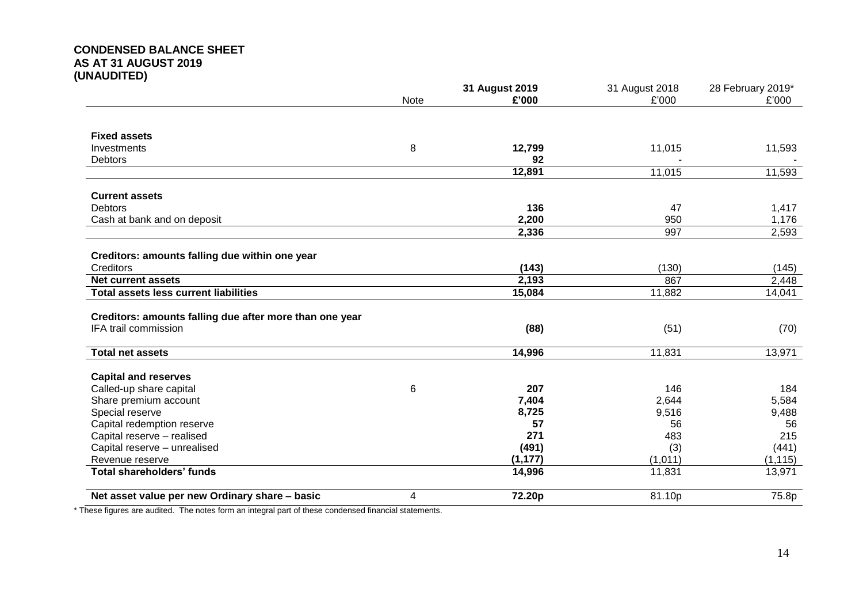# **CONDENSED BALANCE SHEET AS AT 31 AUGUST 2019 (UNAUDITED)**

|                                                         |             | 31 August 2019 | 31 August 2018 | 28 February 2019* |
|---------------------------------------------------------|-------------|----------------|----------------|-------------------|
|                                                         | <b>Note</b> | £'000          | £'000          | £'000             |
|                                                         |             |                |                |                   |
| <b>Fixed assets</b>                                     |             |                |                |                   |
| Investments                                             | 8           | 12,799         | 11,015         | 11,593            |
| <b>Debtors</b>                                          |             | 92             |                |                   |
|                                                         |             | 12,891         | 11,015         | 11,593            |
| <b>Current assets</b>                                   |             |                |                |                   |
| <b>Debtors</b>                                          |             | 136            | 47             | 1,417             |
| Cash at bank and on deposit                             |             | 2,200          | 950            | 1,176             |
|                                                         |             | 2,336          | 997            | 2,593             |
| Creditors: amounts falling due within one year          |             |                |                |                   |
| Creditors                                               |             | (143)          | (130)          | (145)             |
| <b>Net current assets</b>                               |             | 2,193          | 867            | 2,448             |
| <b>Total assets less current liabilities</b>            |             | 15,084         | 11,882         | 14,041            |
|                                                         |             |                |                |                   |
| Creditors: amounts falling due after more than one year |             |                |                |                   |
| IFA trail commission                                    |             | (88)           | (51)           | (70)              |
| <b>Total net assets</b>                                 |             | 14,996         | 11,831         | 13,971            |
| <b>Capital and reserves</b>                             |             |                |                |                   |
| Called-up share capital                                 | 6           | 207            | 146            | 184               |
| Share premium account                                   |             | 7,404          | 2,644          | 5,584             |
| Special reserve                                         |             | 8,725          | 9,516          | 9,488             |
| Capital redemption reserve                              |             | 57             | 56             | 56                |
| Capital reserve - realised                              |             | 271            | 483            | 215               |
| Capital reserve - unrealised                            |             | (491)          | (3)            | (441)             |
| Revenue reserve                                         |             | (1, 177)       | (1,011)        | (1, 115)          |
| <b>Total shareholders' funds</b>                        |             | 14,996         | 11,831         | 13,971            |
| Net asset value per new Ordinary share - basic          | 4           | 72.20p         | 81.10p         | 75.8p             |

\* These figures are audited. The notes form an integral part of these condensed financial statements.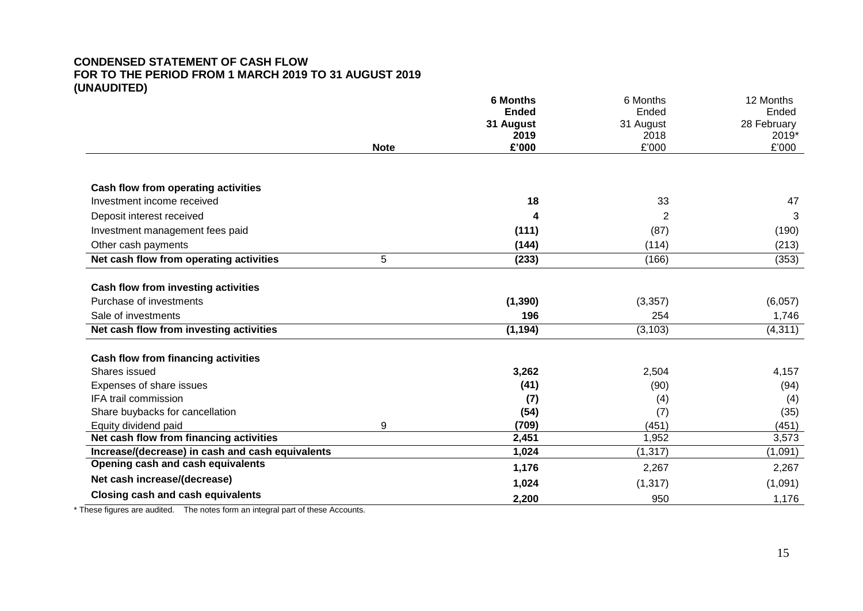# **CONDENSED STATEMENT OF CASH FLOW FOR TO THE PERIOD FROM 1 MARCH 2019 TO 31 AUGUST 2019 (UNAUDITED)**

|                                                  |             | <b>6 Months</b>           | 6 Months           | 12 Months            |
|--------------------------------------------------|-------------|---------------------------|--------------------|----------------------|
|                                                  |             | <b>Ended</b><br>31 August | Ended<br>31 August | Ended<br>28 February |
|                                                  |             | 2019                      | 2018               | 2019*                |
|                                                  | <b>Note</b> | £'000                     | £'000              | £'000                |
|                                                  |             |                           |                    |                      |
| Cash flow from operating activities              |             |                           |                    |                      |
| Investment income received                       |             | 18                        | 33                 | 47                   |
| Deposit interest received                        |             | 4                         | 2                  | 3                    |
| Investment management fees paid                  |             | (111)                     | (87)               | (190)                |
| Other cash payments                              |             | (144)                     | (114)              | (213)                |
| Net cash flow from operating activities          | 5           | (233)                     | (166)              | (353)                |
|                                                  |             |                           |                    |                      |
| Cash flow from investing activities              |             |                           |                    |                      |
| Purchase of investments                          |             | (1, 390)                  | (3, 357)           | (6,057)              |
| Sale of investments                              |             | 196                       | 254                | 1,746                |
| Net cash flow from investing activities          |             | (1, 194)                  | (3, 103)           | (4, 311)             |
| <b>Cash flow from financing activities</b>       |             |                           |                    |                      |
| Shares issued                                    |             | 3,262                     | 2,504              | 4,157                |
| Expenses of share issues                         |             | (41)                      | (90)               | (94)                 |
| IFA trail commission                             |             | (7)                       | (4)                | (4)                  |
| Share buybacks for cancellation                  |             | (54)                      | (7)                | (35)                 |
| Equity dividend paid                             | 9           | (709)                     | (451)              | (451)                |
| Net cash flow from financing activities          |             | 2,451                     | 1,952              | 3,573                |
| Increase/(decrease) in cash and cash equivalents |             | 1,024                     | (1, 317)           | (1,091)              |
| Opening cash and cash equivalents                |             | 1,176                     | 2,267              | 2,267                |
| Net cash increase/(decrease)                     |             | 1,024                     | (1, 317)           | (1,091)              |
| <b>Closing cash and cash equivalents</b>         |             | 2,200                     | 950                | 1,176                |

\* These figures are audited. The notes form an integral part of these Accounts.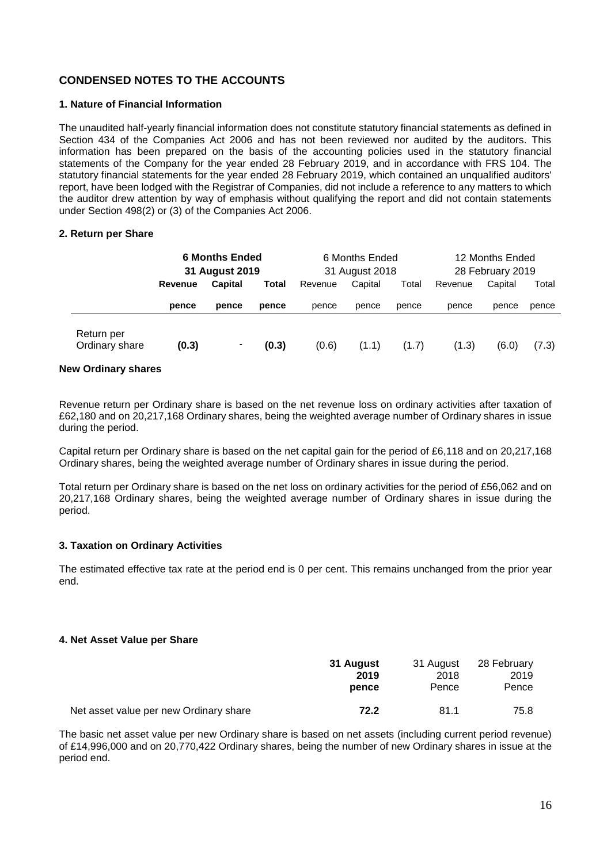# **CONDENSED NOTES TO THE ACCOUNTS**

## **1. Nature of Financial Information**

The unaudited half-yearly financial information does not constitute statutory financial statements as defined in Section 434 of the Companies Act 2006 and has not been reviewed nor audited by the auditors. This information has been prepared on the basis of the accounting policies used in the statutory financial statements of the Company for the year ended 28 February 2019, and in accordance with FRS 104. The statutory financial statements for the year ended 28 February 2019, which contained an unqualified auditors' report, have been lodged with the Registrar of Companies, did not include a reference to any matters to which the auditor drew attention by way of emphasis without qualifying the report and did not contain statements under Section 498(2) or (3) of the Companies Act 2006.

## **2. Return per Share**

|                              | <b>6 Months Ended</b><br>31 August 2019 |                | 6 Months Ended<br>31 August 2018 |         |         | 12 Months Ended<br>28 February 2019 |         |         |       |
|------------------------------|-----------------------------------------|----------------|----------------------------------|---------|---------|-------------------------------------|---------|---------|-------|
|                              | <b>Revenue</b>                          | <b>Capital</b> | Total                            | Revenue | Capital | Total                               | Revenue | Capital | Total |
|                              | pence                                   | pence          | pence                            | pence   | pence   | pence                               | pence   | pence   | pence |
| Return per<br>Ordinary share | (0.3)                                   | ٠              | (0.3)                            | (0.6)   | (1.1)   | (1.7)                               | (1.3)   | (6.0)   | (7.3) |

## **New Ordinary shares**

Revenue return per Ordinary share is based on the net revenue loss on ordinary activities after taxation of £62,180 and on 20,217,168 Ordinary shares, being the weighted average number of Ordinary shares in issue during the period.

Capital return per Ordinary share is based on the net capital gain for the period of £6,118 and on 20,217,168 Ordinary shares, being the weighted average number of Ordinary shares in issue during the period.

Total return per Ordinary share is based on the net loss on ordinary activities for the period of £56,062 and on 20,217,168 Ordinary shares, being the weighted average number of Ordinary shares in issue during the period.

## **3. Taxation on Ordinary Activities**

The estimated effective tax rate at the period end is 0 per cent. This remains unchanged from the prior year end.

## **4. Net Asset Value per Share**

|                                        | <b>31 August</b> | 31 August | 28 February |
|----------------------------------------|------------------|-----------|-------------|
|                                        | 2019             | 2018      | 2019        |
|                                        | pence            | Pence     | Pence       |
| Net asset value per new Ordinary share | 72.2             | 81.1      | 75.8        |

The basic net asset value per new Ordinary share is based on net assets (including current period revenue) of £14,996,000 and on 20,770,422 Ordinary shares, being the number of new Ordinary shares in issue at the period end.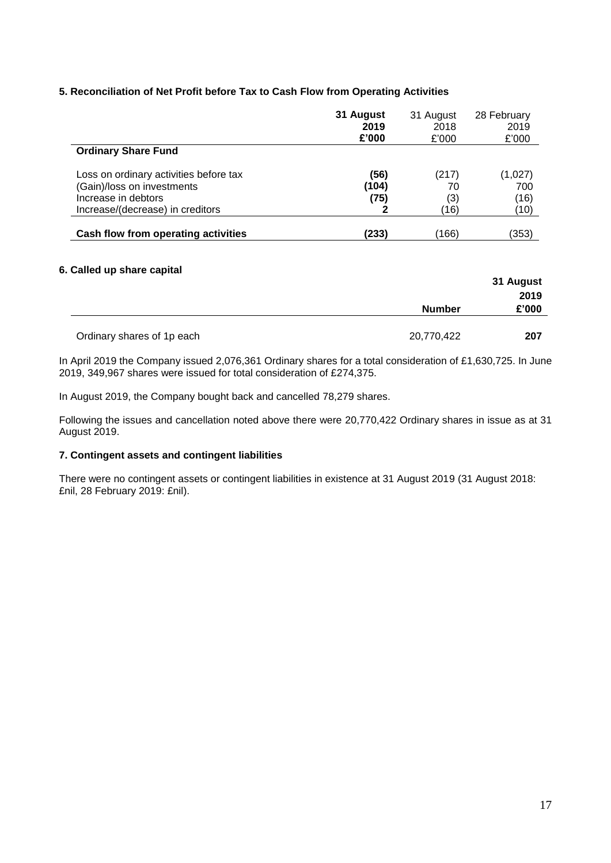## **5. Reconciliation of Net Profit before Tax to Cash Flow from Operating Activities**

|                                        | 31 August | 31 August | 28 February |
|----------------------------------------|-----------|-----------|-------------|
|                                        | 2019      | 2018      | 2019        |
|                                        | £'000     | £'000     | £'000       |
| <b>Ordinary Share Fund</b>             |           |           |             |
| Loss on ordinary activities before tax | (56)      | (217)     | (1,027)     |
| (Gain)/loss on investments             | (104)     | 70        | 700         |
| Increase in debtors                    | (75)      | (3)       | (16)        |
| Increase/(decrease) in creditors       | 2         | (16)      | (10)        |
|                                        |           |           |             |
| Cash flow from operating activities    | (233)     | (166)     | (353)       |

## **6. Called up share capital**

| $\sim$ which we client compliant |               | 31 August<br>2019 |
|----------------------------------|---------------|-------------------|
|                                  | <b>Number</b> | £'000             |
| Ordinary shares of 1p each       | 20,770,422    | 207               |

In April 2019 the Company issued 2,076,361 Ordinary shares for a total consideration of £1,630,725. In June 2019, 349,967 shares were issued for total consideration of £274,375.

In August 2019, the Company bought back and cancelled 78,279 shares.

Following the issues and cancellation noted above there were 20,770,422 Ordinary shares in issue as at 31 August 2019.

# **7. Contingent assets and contingent liabilities**

There were no contingent assets or contingent liabilities in existence at 31 August 2019 (31 August 2018: £nil, 28 February 2019: £nil).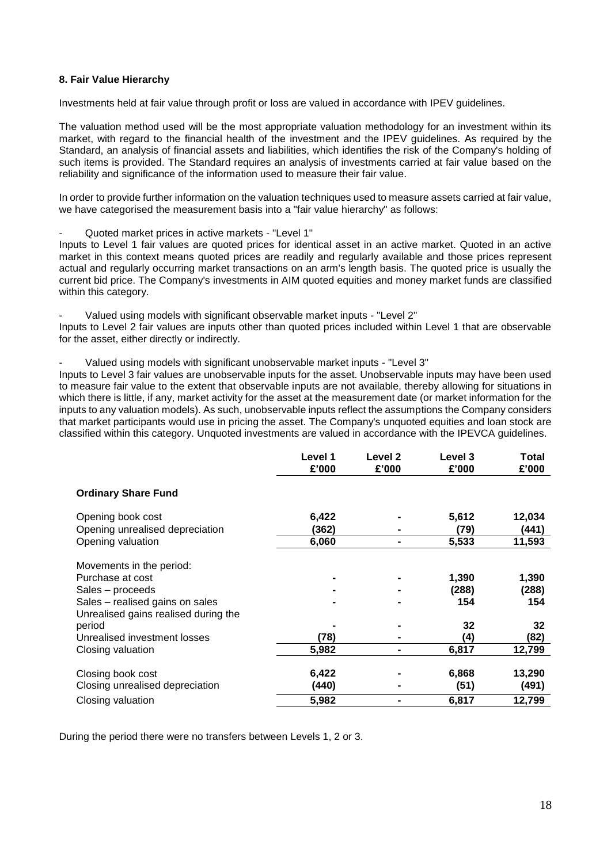## **8. Fair Value Hierarchy**

Investments held at fair value through profit or loss are valued in accordance with IPEV guidelines.

The valuation method used will be the most appropriate valuation methodology for an investment within its market, with regard to the financial health of the investment and the IPEV guidelines. As required by the Standard, an analysis of financial assets and liabilities, which identifies the risk of the Company's holding of such items is provided. The Standard requires an analysis of investments carried at fair value based on the reliability and significance of the information used to measure their fair value.

In order to provide further information on the valuation techniques used to measure assets carried at fair value, we have categorised the measurement basis into a "fair value hierarchy" as follows:

- Quoted market prices in active markets - "Level 1"

Inputs to Level 1 fair values are quoted prices for identical asset in an active market. Quoted in an active market in this context means quoted prices are readily and regularly available and those prices represent actual and regularly occurring market transactions on an arm's length basis. The quoted price is usually the current bid price. The Company's investments in AIM quoted equities and money market funds are classified within this category.

Valued using models with significant observable market inputs - "Level 2" Inputs to Level 2 fair values are inputs other than quoted prices included within Level 1 that are observable for the asset, either directly or indirectly.

Valued using models with significant unobservable market inputs - "Level 3"

Inputs to Level 3 fair values are unobservable inputs for the asset. Unobservable inputs may have been used to measure fair value to the extent that observable inputs are not available, thereby allowing for situations in which there is little, if any, market activity for the asset at the measurement date (or market information for the inputs to any valuation models). As such, unobservable inputs reflect the assumptions the Company considers that market participants would use in pricing the asset. The Company's unquoted equities and loan stock are classified within this category. Unquoted investments are valued in accordance with the IPEVCA guidelines.

|                                      | Level 1<br>£'000 | Level 2<br>£'000 | Level 3<br>£'000 | <b>Total</b><br>£'000 |
|--------------------------------------|------------------|------------------|------------------|-----------------------|
| <b>Ordinary Share Fund</b>           |                  |                  |                  |                       |
| Opening book cost                    | 6,422            |                  | 5,612            | 12,034                |
| Opening unrealised depreciation      | (362)            |                  | (79)             | (441)                 |
| Opening valuation                    | 6,060            |                  | 5,533            | 11,593                |
| Movements in the period:             |                  |                  |                  |                       |
| Purchase at cost                     |                  |                  | 1,390            | 1,390                 |
| Sales – proceeds                     |                  |                  | (288)            | (288)                 |
| Sales - realised gains on sales      |                  |                  | 154              | 154                   |
| Unrealised gains realised during the |                  |                  |                  |                       |
| period                               |                  |                  | 32               | 32                    |
| Unrealised investment losses         | (78)             |                  | (4)              | (82)                  |
| Closing valuation                    | 5,982            | -                | 6,817            | 12,799                |
|                                      |                  |                  |                  |                       |
| Closing book cost                    | 6,422            |                  | 6,868            | 13,290                |
| Closing unrealised depreciation      | (440)            |                  | (51)             | (491)                 |
| Closing valuation                    | 5,982            |                  | 6,817            | 12,799                |

During the period there were no transfers between Levels 1, 2 or 3.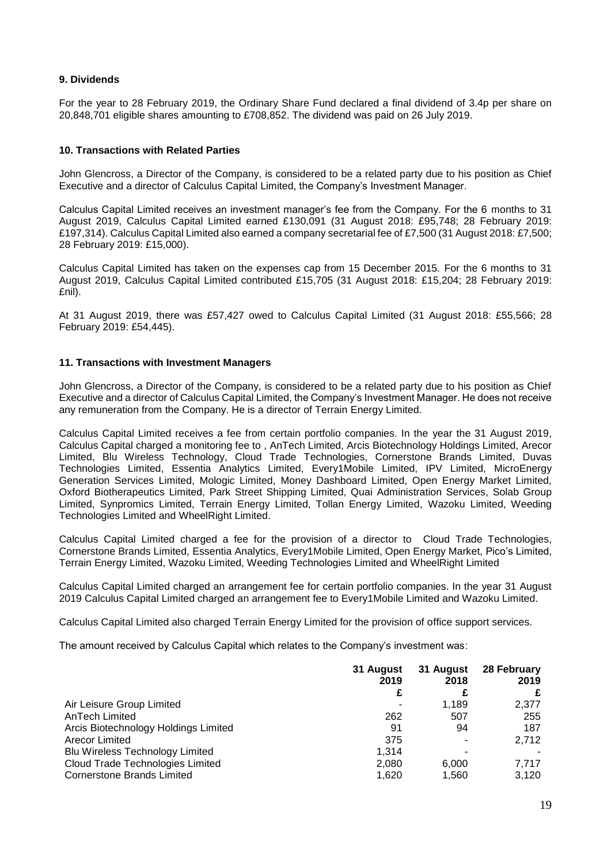## **9. Dividends**

For the year to 28 February 2019, the Ordinary Share Fund declared a final dividend of 3.4p per share on 20,848,701 eligible shares amounting to £708,852. The dividend was paid on 26 July 2019.

## **10. Transactions with Related Parties**

John Glencross, a Director of the Company, is considered to be a related party due to his position as Chief Executive and a director of Calculus Capital Limited, the Company's Investment Manager.

Calculus Capital Limited receives an investment manager's fee from the Company. For the 6 months to 31 August 2019, Calculus Capital Limited earned £130,091 (31 August 2018: £95,748; 28 February 2019: £197,314). Calculus Capital Limited also earned a company secretarial fee of £7,500 (31 August 2018: £7,500; 28 February 2019: £15,000).

Calculus Capital Limited has taken on the expenses cap from 15 December 2015. For the 6 months to 31 August 2019, Calculus Capital Limited contributed £15,705 (31 August 2018: £15,204; 28 February 2019: £nil).

At 31 August 2019, there was £57,427 owed to Calculus Capital Limited (31 August 2018: £55,566; 28 February 2019: £54,445).

## **11. Transactions with Investment Managers**

John Glencross, a Director of the Company, is considered to be a related party due to his position as Chief Executive and a director of Calculus Capital Limited, the Company's Investment Manager. He does not receive any remuneration from the Company. He is a director of Terrain Energy Limited.

Calculus Capital Limited receives a fee from certain portfolio companies. In the year the 31 August 2019, Calculus Capital charged a monitoring fee to , AnTech Limited, Arcis Biotechnology Holdings Limited, Arecor Limited, Blu Wireless Technology, Cloud Trade Technologies, Cornerstone Brands Limited, Duvas Technologies Limited, Essentia Analytics Limited, Every1Mobile Limited, IPV Limited, MicroEnergy Generation Services Limited, Mologic Limited, Money Dashboard Limited, Open Energy Market Limited, Oxford Biotherapeutics Limited, Park Street Shipping Limited, Quai Administration Services, Solab Group Limited, Synpromics Limited, Terrain Energy Limited, Tollan Energy Limited, Wazoku Limited, Weeding Technologies Limited and WheelRight Limited.

Calculus Capital Limited charged a fee for the provision of a director to Cloud Trade Technologies, Cornerstone Brands Limited, Essentia Analytics, Every1Mobile Limited, Open Energy Market, Pico's Limited, Terrain Energy Limited, Wazoku Limited, Weeding Technologies Limited and WheelRight Limited

Calculus Capital Limited charged an arrangement fee for certain portfolio companies. In the year 31 August 2019 Calculus Capital Limited charged an arrangement fee to Every1Mobile Limited and Wazoku Limited.

Calculus Capital Limited also charged Terrain Energy Limited for the provision of office support services.

The amount received by Calculus Capital which relates to the Company's investment was:

|                                        | 31 August<br>2019 | 31 August<br>2018 | 28 February<br>2019 |
|----------------------------------------|-------------------|-------------------|---------------------|
|                                        | £                 |                   |                     |
| Air Leisure Group Limited              | ٠                 | 1.189             | 2,377               |
| AnTech Limited                         | 262               | 507               | 255                 |
| Arcis Biotechnology Holdings Limited   | 91                | 94                | 187                 |
| Arecor Limited                         | 375               | ٠                 | 2,712               |
| <b>Blu Wireless Technology Limited</b> | 1.314             | ٠                 |                     |
| Cloud Trade Technologies Limited       | 2,080             | 6.000             | 7.717               |
| <b>Cornerstone Brands Limited</b>      | 1,620             | 1,560             | 3,120               |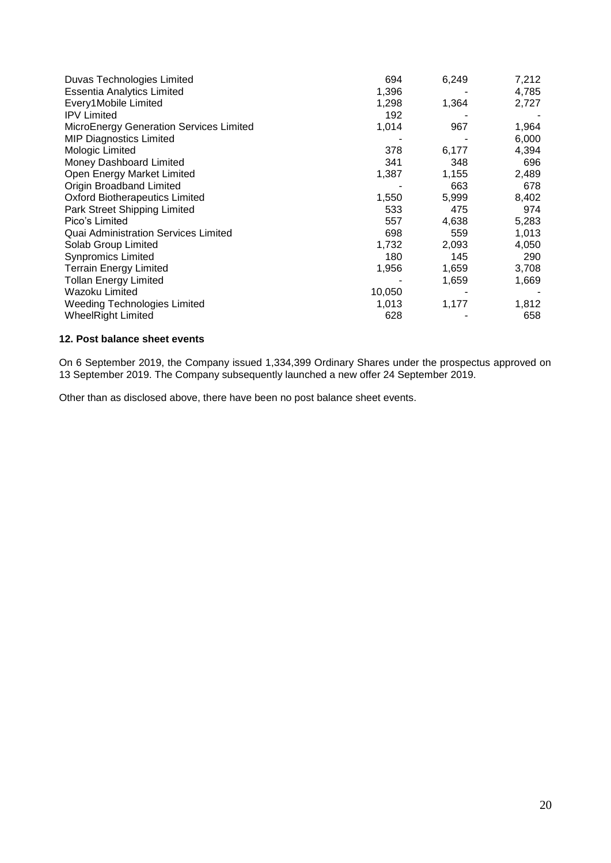| Duvas Technologies Limited                     | 694    | 6,249 | 7,212 |
|------------------------------------------------|--------|-------|-------|
| <b>Essentia Analytics Limited</b>              | 1,396  |       | 4,785 |
| Every1Mobile Limited                           | 1,298  | 1,364 | 2,727 |
| <b>IPV Limited</b>                             | 192    |       |       |
| <b>MicroEnergy Generation Services Limited</b> | 1,014  | 967   | 1,964 |
| <b>MIP Diagnostics Limited</b>                 |        |       | 6,000 |
| Mologic Limited                                | 378    | 6,177 | 4,394 |
| Money Dashboard Limited                        | 341    | 348   | 696   |
| Open Energy Market Limited                     | 1,387  | 1,155 | 2,489 |
| <b>Origin Broadband Limited</b>                |        | 663   | 678   |
| <b>Oxford Biotherapeutics Limited</b>          | 1,550  | 5,999 | 8,402 |
| Park Street Shipping Limited                   | 533    | 475   | 974   |
| Pico's Limited                                 | 557    | 4,638 | 5,283 |
| Quai Administration Services Limited           | 698    | 559   | 1,013 |
| Solab Group Limited                            | 1,732  | 2,093 | 4,050 |
| <b>Synpromics Limited</b>                      | 180    | 145   | 290   |
| <b>Terrain Energy Limited</b>                  | 1,956  | 1,659 | 3,708 |
| Tollan Energy Limited                          |        | 1,659 | 1,669 |
| Wazoku Limited                                 | 10,050 |       |       |
| <b>Weeding Technologies Limited</b>            | 1,013  | 1,177 | 1,812 |
| <b>WheelRight Limited</b>                      | 628    |       | 658   |

## **12. Post balance sheet events**

On 6 September 2019, the Company issued 1,334,399 Ordinary Shares under the prospectus approved on 13 September 2019. The Company subsequently launched a new offer 24 September 2019.

Other than as disclosed above, there have been no post balance sheet events.